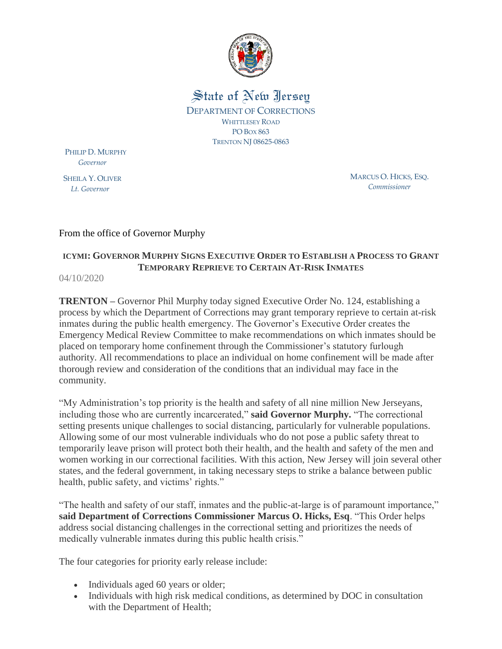

State of New Jersey DEPARTMENT OF CORRECTIONS WHITTLESEY ROAD PO BOX 863 TRENTON NJ 08625-0863

PHILIP D. MURPHY  *Governor*

SHEILA Y. OLIVER  *Lt. Governor*

MARCUS O. HICKS, ESQ. *Commissioner*

## From the office of Governor Murphy

## **ICYMI: GOVERNOR MURPHY SIGNS EXECUTIVE ORDER TO ESTABLISH A PROCESS TO GRANT TEMPORARY REPRIEVE TO CERTAIN AT-RISK INMATES**

04/10/2020

**TRENTON –** Governor Phil Murphy today signed Executive Order No. 124, establishing a process by which the Department of Corrections may grant temporary reprieve to certain at-risk inmates during the public health emergency. The Governor's Executive Order creates the Emergency Medical Review Committee to make recommendations on which inmates should be placed on temporary home confinement through the Commissioner's statutory furlough authority. All recommendations to place an individual on home confinement will be made after thorough review and consideration of the conditions that an individual may face in the community.

"My Administration's top priority is the health and safety of all nine million New Jerseyans, including those who are currently incarcerated," **said Governor Murphy.** "The correctional setting presents unique challenges to social distancing, particularly for vulnerable populations. Allowing some of our most vulnerable individuals who do not pose a public safety threat to temporarily leave prison will protect both their health, and the health and safety of the men and women working in our correctional facilities. With this action, New Jersey will join several other states, and the federal government, in taking necessary steps to strike a balance between public health, public safety, and victims' rights."

"The health and safety of our staff, inmates and the public-at-large is of paramount importance," **said Department of Corrections Commissioner Marcus O. Hicks, Esq**. "This Order helps address social distancing challenges in the correctional setting and prioritizes the needs of medically vulnerable inmates during this public health crisis."

The four categories for priority early release include:

- Individuals aged 60 years or older;
- Individuals with high risk medical conditions, as determined by DOC in consultation with the Department of Health;